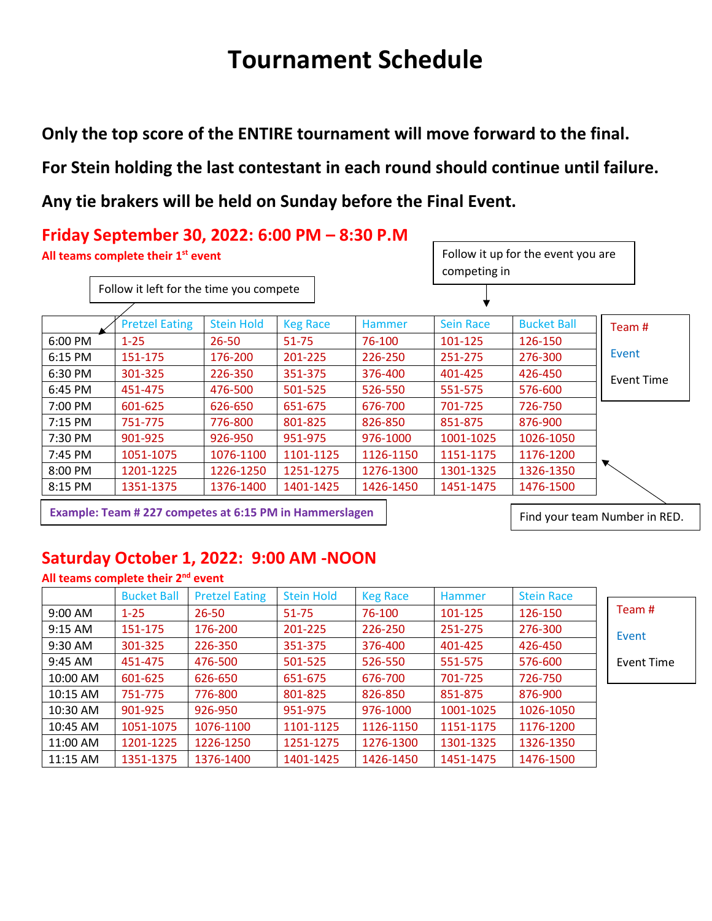# **Tournament Schedule**

**Only the top score of the ENTIRE tournament will move forward to the final.** 

**For Stein holding the last contestant in each round should continue until failure.**

**Any tie brakers will be held on Sunday before the Final Event.**



**Example: Team # 227 competes at 6:15 PM in Hammerslagen**

Find your team Number in RED.

## **Saturday October 1, 2022: 9:00 AM -NOON**

|          | All teams complete their 2 <sup>nd</sup> event |                       |                   |                 |               |                   |            |
|----------|------------------------------------------------|-----------------------|-------------------|-----------------|---------------|-------------------|------------|
|          | <b>Bucket Ball</b>                             | <b>Pretzel Eating</b> | <b>Stein Hold</b> | <b>Keg Race</b> | <b>Hammer</b> | <b>Stein Race</b> |            |
| 9:00 AM  | $1 - 25$                                       | $26 - 50$             | 51-75             | 76-100          | 101-125       | 126-150           | Team #     |
| 9:15 AM  | 151-175                                        | 176-200               | 201-225           | 226-250         | 251-275       | 276-300           | Event      |
| 9:30 AM  | 301-325                                        | 226-350               | 351-375           | 376-400         | 401-425       | 426-450           |            |
| 9:45 AM  | 451-475                                        | 476-500               | 501-525           | 526-550         | 551-575       | 576-600           | Event Time |
| 10:00 AM | 601-625                                        | 626-650               | 651-675           | 676-700         | 701-725       | 726-750           |            |
| 10:15 AM | 751-775                                        | 776-800               | 801-825           | 826-850         | 851-875       | 876-900           |            |
| 10:30 AM | 901-925                                        | 926-950               | 951-975           | 976-1000        | 1001-1025     | 1026-1050         |            |
| 10:45 AM | 1051-1075                                      | 1076-1100             | 1101-1125         | 1126-1150       | 1151-1175     | 1176-1200         |            |
| 11:00 AM | 1201-1225                                      | 1226-1250             | 1251-1275         | 1276-1300       | 1301-1325     | 1326-1350         |            |
| 11:15 AM | 1351-1375                                      | 1376-1400             | 1401-1425         | 1426-1450       | 1451-1475     | 1476-1500         |            |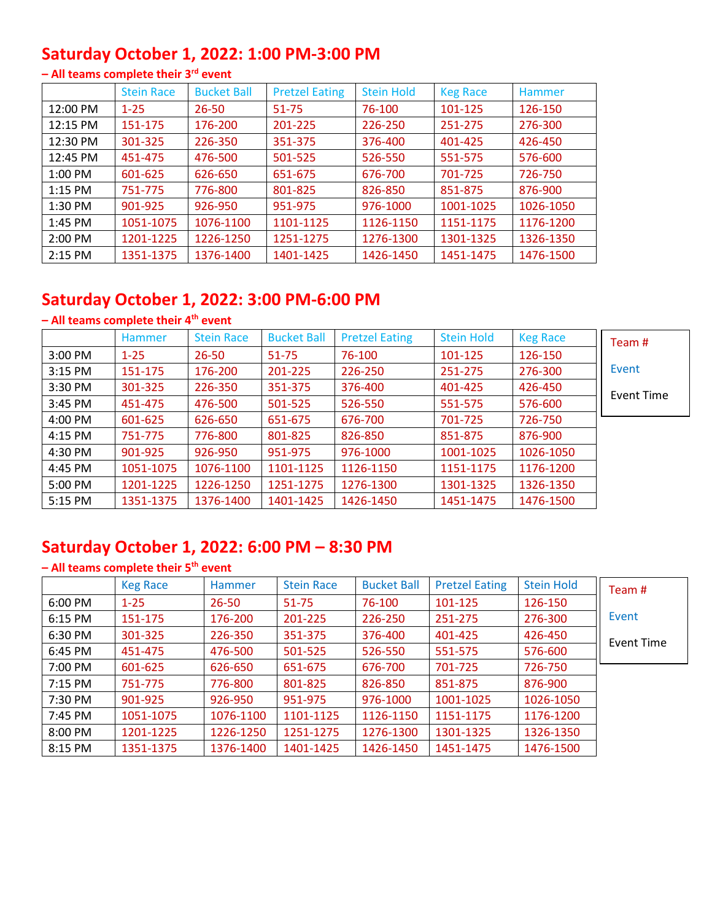## **Saturday October 1, 2022: 1:00 PM-3:00 PM**

|           | <b>Stein Race</b> | <b>Bucket Ball</b> | <b>Pretzel Eating</b> | <b>Stein Hold</b> | <b>Keg Race</b> | Hammer    |
|-----------|-------------------|--------------------|-----------------------|-------------------|-----------------|-----------|
| 12:00 PM  | $1 - 25$          | $26 - 50$          | 51-75                 | 76-100            | 101-125         | 126-150   |
| 12:15 PM  | 151-175           | 176-200            | 201-225               | 226-250           | 251-275         | 276-300   |
| 12:30 PM  | 301-325           | 226-350            | 351-375               | 376-400           | 401-425         | 426-450   |
| 12:45 PM  | 451-475           | 476-500            | 501-525               | 526-550           | 551-575         | 576-600   |
| 1:00 PM   | 601-625           | 626-650            | 651-675               | 676-700           | 701-725         | 726-750   |
| $1:15$ PM | 751-775           | 776-800            | 801-825               | 826-850           | 851-875         | 876-900   |
| 1:30 PM   | 901-925           | 926-950            | 951-975               | 976-1000          | 1001-1025       | 1026-1050 |
| 1:45 PM   | 1051-1075         | 1076-1100          | 1101-1125             | 1126-1150         | 1151-1175       | 1176-1200 |
| 2:00 PM   | 1201-1225         | 1226-1250          | 1251-1275             | 1276-1300         | 1301-1325       | 1326-1350 |
| $2:15$ PM | 1351-1375         | 1376-1400          | 1401-1425             | 1426-1450         | 1451-1475       | 1476-1500 |

#### **– All teams complete their 3 rd event**

#### **Saturday October 1, 2022: 3:00 PM-6:00 PM**

#### **– All teams complete their 4 th event**

|           | Hammer    | <b>Stein Race</b> | <b>Bucket Ball</b> | <b>Pretzel Eating</b> | <b>Stein Hold</b> | <b>Keg Race</b> | Team #     |
|-----------|-----------|-------------------|--------------------|-----------------------|-------------------|-----------------|------------|
| 3:00 PM   | $1 - 25$  | $26 - 50$         | $51 - 75$          | 76-100                | 101-125           | 126-150         |            |
| $3:15$ PM | 151-175   | 176-200           | 201-225            | 226-250               | 251-275           | 276-300         | Event      |
| 3:30 PM   | 301-325   | 226-350           | 351-375            | 376-400               | 401-425           | 426-450         | Event Time |
| 3:45 PM   | 451-475   | 476-500           | 501-525            | 526-550               | 551-575           | 576-600         |            |
| 4:00 PM   | 601-625   | 626-650           | 651-675            | 676-700               | 701-725           | 726-750         |            |
| 4:15 PM   | 751-775   | 776-800           | 801-825            | 826-850               | 851-875           | 876-900         |            |
| 4:30 PM   | 901-925   | 926-950           | 951-975            | 976-1000              | 1001-1025         | 1026-1050       |            |
| 4:45 PM   | 1051-1075 | 1076-1100         | 1101-1125          | 1126-1150             | 1151-1175         | 1176-1200       |            |
| 5:00 PM   | 1201-1225 | 1226-1250         | 1251-1275          | 1276-1300             | 1301-1325         | 1326-1350       |            |
| 5:15 PM   | 1351-1375 | 1376-1400         | 1401-1425          | 1426-1450             | 1451-1475         | 1476-1500       |            |

## **Saturday October 1, 2022: 6:00 PM – 8:30 PM**

#### **– All teams complete their 5 th event**

|         | <b>Keg Race</b> | <b>Hammer</b> | <b>Stein Race</b> | <b>Bucket Ball</b> | <b>Pretzel Eating</b> | <b>Stein Hold</b> | Team #     |
|---------|-----------------|---------------|-------------------|--------------------|-----------------------|-------------------|------------|
| 6:00 PM | $1 - 25$        | $26 - 50$     | $51 - 75$         | 76-100             | 101-125               | 126-150           |            |
| 6:15 PM | 151-175         | 176-200       | 201-225           | 226-250            | 251-275               | 276-300           | Event      |
| 6:30 PM | 301-325         | 226-350       | 351-375           | 376-400            | 401-425               | 426-450           | Event Time |
| 6:45 PM | 451-475         | 476-500       | 501-525           | 526-550            | 551-575               | 576-600           |            |
| 7:00 PM | 601-625         | 626-650       | 651-675           | 676-700            | 701-725               | 726-750           |            |
| 7:15 PM | 751-775         | 776-800       | 801-825           | 826-850            | 851-875               | 876-900           |            |
| 7:30 PM | 901-925         | 926-950       | 951-975           | 976-1000           | 1001-1025             | 1026-1050         |            |
| 7:45 PM | 1051-1075       | 1076-1100     | 1101-1125         | 1126-1150          | 1151-1175             | 1176-1200         |            |
| 8:00 PM | 1201-1225       | 1226-1250     | 1251-1275         | 1276-1300          | 1301-1325             | 1326-1350         |            |
| 8:15 PM | 1351-1375       | 1376-1400     | 1401-1425         | 1426-1450          | 1451-1475             | 1476-1500         |            |